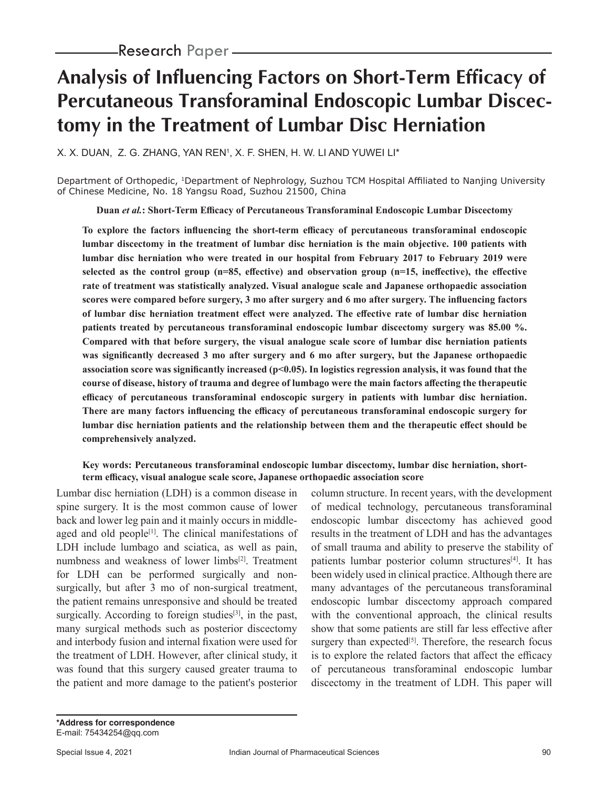# **Analysis of Influencing Factors on Short-Term Efficacy of Percutaneous Transforaminal Endoscopic Lumbar Discectomy in the Treatment of Lumbar Disc Herniation**

X. X. DUAN, Z. G. ZHANG, YAN REN', X. F. SHEN, H. W. LI AND YUWEI LI\*

Department of Orthopedic, 1Department of Nephrology, Suzhou TCM Hospital Affiliated to Nanjing University of Chinese Medicine, No. 18 Yangsu Road, Suzhou 21500, China

**Duan** *et al.***: Short-Term Efficacy of Percutaneous Transforaminal Endoscopic Lumbar Discectomy**

**To explore the factors influencing the short-term efficacy of percutaneous transforaminal endoscopic lumbar discectomy in the treatment of lumbar disc herniation is the main objective. 100 patients with lumbar disc herniation who were treated in our hospital from February 2017 to February 2019 were selected as the control group (n=85, effective) and observation group (n=15, ineffective), the effective rate of treatment was statistically analyzed. Visual analogue scale and Japanese orthopaedic association scores were compared before surgery, 3 mo after surgery and 6 mo after surgery. The influencing factors of lumbar disc herniation treatment effect were analyzed. The effective rate of lumbar disc herniation patients treated by percutaneous transforaminal endoscopic lumbar discectomy surgery was 85.00 %. Compared with that before surgery, the visual analogue scale score of lumbar disc herniation patients was significantly decreased 3 mo after surgery and 6 mo after surgery, but the Japanese orthopaedic association score was significantly increased (p<0.05). In logistics regression analysis, it was found that the course of disease, history of trauma and degree of lumbago were the main factors affecting the therapeutic efficacy of percutaneous transforaminal endoscopic surgery in patients with lumbar disc herniation. There are many factors influencing the efficacy of percutaneous transforaminal endoscopic surgery for lumbar disc herniation patients and the relationship between them and the therapeutic effect should be comprehensively analyzed.**

## **Key words: Percutaneous transforaminal endoscopic lumbar discectomy, lumbar disc herniation, shortterm efficacy, visual analogue scale score, Japanese orthopaedic association score**

Lumbar disc herniation (LDH) is a common disease in spine surgery. It is the most common cause of lower back and lower leg pain and it mainly occurs in middleaged and old people<sup>[1]</sup>. The clinical manifestations of LDH include lumbago and sciatica, as well as pain, numbness and weakness of lower limbs[2]. Treatment for LDH can be performed surgically and nonsurgically, but after 3 mo of non-surgical treatment, the patient remains unresponsive and should be treated surgically. According to foreign studies $[3]$ , in the past, many surgical methods such as posterior discectomy and interbody fusion and internal fixation were used for the treatment of LDH. However, after clinical study, it was found that this surgery caused greater trauma to the patient and more damage to the patient's posterior

column structure. In recent years, with the development of medical technology, percutaneous transforaminal endoscopic lumbar discectomy has achieved good results in the treatment of LDH and has the advantages of small trauma and ability to preserve the stability of patients lumbar posterior column structures<sup>[4]</sup>. It has been widely used in clinical practice. Although there are many advantages of the percutaneous transforaminal endoscopic lumbar discectomy approach compared with the conventional approach, the clinical results show that some patients are still far less effective after surgery than expected<sup>[5]</sup>. Therefore, the research focus is to explore the related factors that affect the efficacy of percutaneous transforaminal endoscopic lumbar discectomy in the treatment of LDH. This paper will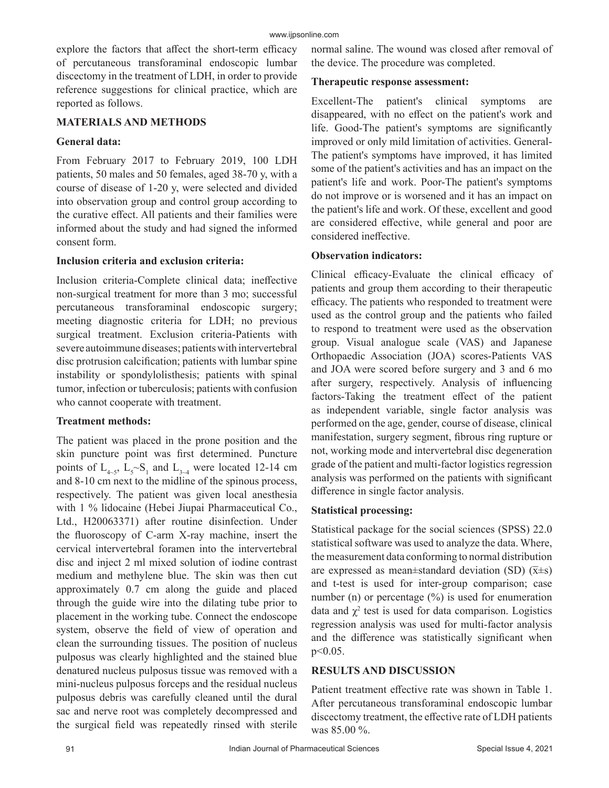explore the factors that affect the short-term efficacy of percutaneous transforaminal endoscopic lumbar discectomy in the treatment of LDH, in order to provide reference suggestions for clinical practice, which are reported as follows.

#### **MATERIALS AND METHODS**

#### **General data:**

From February 2017 to February 2019, 100 LDH patients, 50 males and 50 females, aged 38-70 y, with a course of disease of 1-20 y, were selected and divided into observation group and control group according to the curative effect. All patients and their families were informed about the study and had signed the informed consent form.

#### **Inclusion criteria and exclusion criteria:**

Inclusion criteria-Complete clinical data; ineffective non-surgical treatment for more than 3 mo; successful percutaneous transforaminal endoscopic surgery; meeting diagnostic criteria for LDH; no previous surgical treatment. Exclusion criteria-Patients with severe autoimmune diseases; patients with intervertebral disc protrusion calcification; patients with lumbar spine instability or spondylolisthesis; patients with spinal tumor, infection or tuberculosis; patients with confusion who cannot cooperate with treatment.

## **Treatment methods:**

The patient was placed in the prone position and the skin puncture point was first determined. Puncture points of  $L_{4-5}$ ,  $L_5 \sim S_1$  and  $L_{3-4}$  were located 12-14 cm and 8-10 cm next to the midline of the spinous process, respectively. The patient was given local anesthesia with 1 % lidocaine (Hebei Jiupai Pharmaceutical Co., Ltd., H20063371) after routine disinfection. Under the fluoroscopy of C-arm X-ray machine, insert the cervical intervertebral foramen into the intervertebral disc and inject 2 ml mixed solution of iodine contrast medium and methylene blue. The skin was then cut approximately 0.7 cm along the guide and placed through the guide wire into the dilating tube prior to placement in the working tube. Connect the endoscope system, observe the field of view of operation and clean the surrounding tissues. The position of nucleus pulposus was clearly highlighted and the stained blue denatured nucleus pulposus tissue was removed with a mini-nucleus pulposus forceps and the residual nucleus pulposus debris was carefully cleaned until the dural sac and nerve root was completely decompressed and the surgical field was repeatedly rinsed with sterile

normal saline. The wound was closed after removal of the device. The procedure was completed.

#### **Therapeutic response assessment:**

Excellent-The patient's clinical symptoms are disappeared, with no effect on the patient's work and life. Good-The patient's symptoms are significantly improved or only mild limitation of activities. General-The patient's symptoms have improved, it has limited some of the patient's activities and has an impact on the patient's life and work. Poor-The patient's symptoms do not improve or is worsened and it has an impact on the patient's life and work. Of these, excellent and good are considered effective, while general and poor are considered ineffective.

## **Observation indicators:**

Clinical efficacy-Evaluate the clinical efficacy of patients and group them according to their therapeutic efficacy. The patients who responded to treatment were used as the control group and the patients who failed to respond to treatment were used as the observation group. Visual analogue scale (VAS) and Japanese Orthopaedic Association (JOA) scores-Patients VAS and JOA were scored before surgery and 3 and 6 mo after surgery, respectively. Analysis of influencing factors-Taking the treatment effect of the patient as independent variable, single factor analysis was performed on the age, gender, course of disease, clinical manifestation, surgery segment, fibrous ring rupture or not, working mode and intervertebral disc degeneration grade of the patient and multi-factor logistics regression analysis was performed on the patients with significant difference in single factor analysis.

## **Statistical processing:**

Statistical package for the social sciences (SPSS) 22.0 statistical software was used to analyze the data. Where, the measurement data conforming to normal distribution are expressed as mean $\pm$ standard deviation (SD) ( $\overline{x} \pm s$ ) and t-test is used for inter-group comparison; case number (n) or percentage  $(\%)$  is used for enumeration data and  $\chi^2$  test is used for data comparison. Logistics regression analysis was used for multi-factor analysis and the difference was statistically significant when p<0.05.

## **RESULTS AND DISCUSSION**

Patient treatment effective rate was shown in Table 1. After percutaneous transforaminal endoscopic lumbar discectomy treatment, the effective rate of LDH patients was 85.00 %.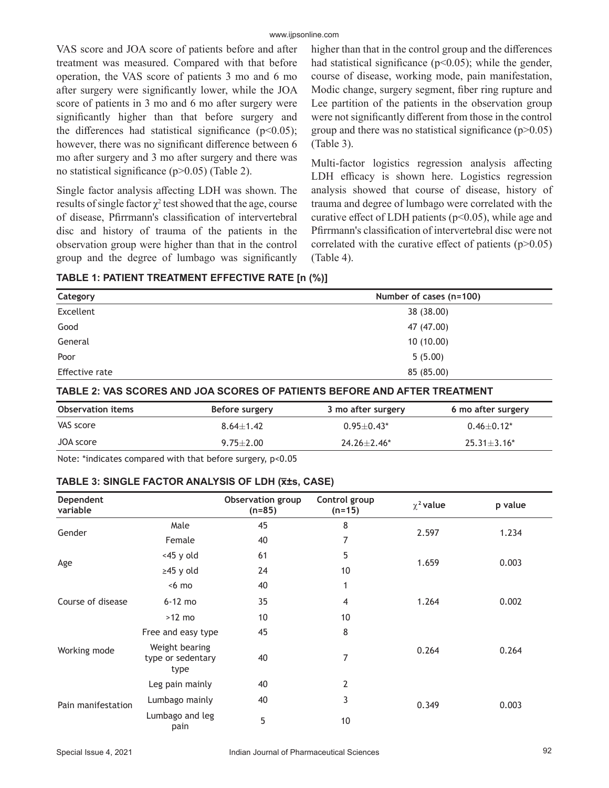VAS score and JOA score of patients before and after treatment was measured. Compared with that before operation, the VAS score of patients 3 mo and 6 mo after surgery were significantly lower, while the JOA score of patients in 3 mo and 6 mo after surgery were significantly higher than that before surgery and the differences had statistical significance ( $p$ <0.05); however, there was no significant difference between 6 mo after surgery and 3 mo after surgery and there was no statistical significance (p>0.05) (Table 2).

Single factor analysis affecting LDH was shown. The results of single factor  $\chi^2$  test showed that the age, course of disease, Pfirrmann's classification of intervertebral disc and history of trauma of the patients in the observation group were higher than that in the control group and the degree of lumbago was significantly

higher than that in the control group and the differences had statistical significance  $(p<0.05)$ ; while the gender, course of disease, working mode, pain manifestation, Modic change, surgery segment, fiber ring rupture and Lee partition of the patients in the observation group were not significantly different from those in the control group and there was no statistical significance  $(p>0.05)$ (Table 3).

Multi-factor logistics regression analysis affecting LDH efficacy is shown here. Logistics regression analysis showed that course of disease, history of trauma and degree of lumbago were correlated with the curative effect of LDH patients ( $p<0.05$ ), while age and Pfirrmann's classification of intervertebral disc were not correlated with the curative effect of patients  $(p>0.05)$ (Table 4).

**TABLE 1: PATIENT TREATMENT EFFECTIVE RATE [n (%)]**

| Category              | Number of cases (n=100) |
|-----------------------|-------------------------|
| Excellent             | 38 (38.00)              |
| Good                  | 47 (47.00)              |
| General               | 10(10.00)               |
| Poor                  | 5(5.00)                 |
| <b>Effective rate</b> | 85 (85.00)              |

**TABLE 2: VAS SCORES AND JOA SCORES OF PATIENTS BEFORE AND AFTER TREATMENT**

| <b>Observation items</b> | Before surgery | 3 mo after surgery | 6 mo after surgery |  |
|--------------------------|----------------|--------------------|--------------------|--|
| VAS score                | $8.64 + 1.42$  | $0.95 + 0.43*$     | $0.46 + 0.12*$     |  |
| JOA score                | $9.75 + 2.00$  | $24.26 + 2.46^*$   | $25.31 \pm 3.16*$  |  |

Note: \*indicates compared with that before surgery, p<0.05

#### **TABLE 3: SINGLE FACTOR ANALYSIS OF LDH (x̅±s, CASE)**

| Dependent<br>variable    |                                             | Observation group<br>$(n=85)$ | Control group<br>$(n=15)$ | $\chi^2$ value | p value                                            |
|--------------------------|---------------------------------------------|-------------------------------|---------------------------|----------------|----------------------------------------------------|
|                          | Male                                        | 45                            | 8                         |                | 2.597<br>1.234<br>1.659<br>0.003<br>1.264<br>0.002 |
| Gender                   | Female                                      | 40                            | 7                         |                |                                                    |
| Age<br>Course of disease | $<$ 45 y old                                | 61                            | 5                         |                |                                                    |
|                          | $\geq$ 45 y old                             | 24                            | 10                        |                |                                                    |
|                          | $< 6 \text{ mo}$                            | 40                            | 1                         |                |                                                    |
|                          | $6-12$ mo                                   | 35                            | 4                         |                |                                                    |
|                          | $>12$ mo                                    | 10                            | 10                        |                |                                                    |
| Working mode             | Free and easy type                          | 45                            | 8                         |                |                                                    |
|                          | Weight bearing<br>type or sedentary<br>type | 40                            | 7                         | 0.264          | 0.264                                              |
| Pain manifestation       | Leg pain mainly                             | 40                            | $\overline{2}$            |                |                                                    |
|                          | Lumbago mainly                              | 40                            | 3                         | 0.349          | 0.003                                              |
|                          | Lumbago and leg<br>pain                     | 5                             | 10                        |                |                                                    |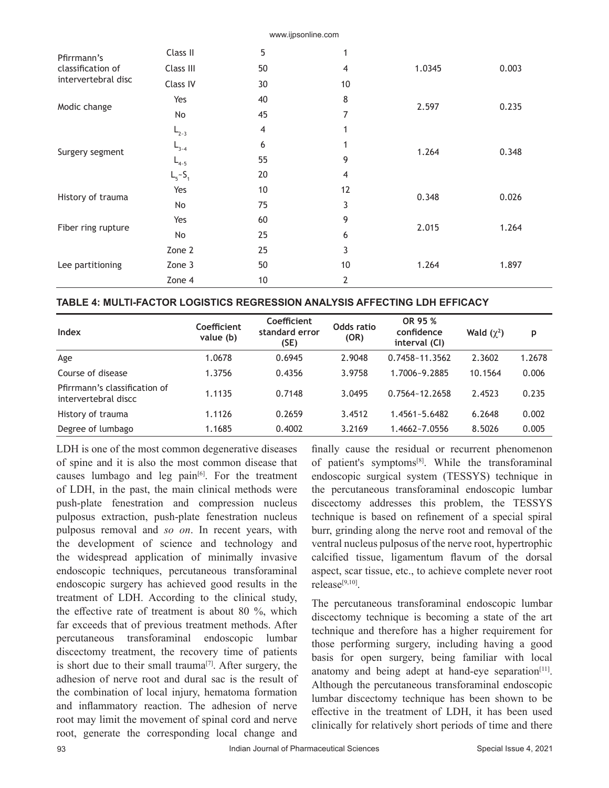| Pfirrmann's<br>classification of<br>intervertebral disc | Class II        | 5  | 1              |        |       |
|---------------------------------------------------------|-----------------|----|----------------|--------|-------|
|                                                         | Class III       | 50 | $\overline{4}$ | 1.0345 | 0.003 |
|                                                         | Class IV        | 30 | 10             |        |       |
| Modic change                                            | Yes             | 40 | 8              |        |       |
|                                                         | No              | 45 | 7              | 2.597  | 0.235 |
| Surgery segment                                         | $L_{2-3}$       | 4  | 1              |        |       |
|                                                         | $L_{3-4}$       | 6  | 1              | 1.264  | 0.348 |
|                                                         | $L_{4-5}$       | 55 | 9              |        |       |
|                                                         | $L_{5} - S_{1}$ | 20 | 4              |        |       |
| History of trauma                                       | Yes             | 10 | 12             | 0.348  | 0.026 |
|                                                         | No              | 75 | 3              |        |       |
| Fiber ring rupture                                      | Yes             | 60 | 9              |        | 1.264 |
|                                                         | No              | 25 | 6              | 2.015  |       |
| Lee partitioning                                        | Zone 2          | 25 | 3              |        |       |
|                                                         | Zone 3          | 50 | 10             | 1.264  | 1.897 |
|                                                         | Zone 4          | 10 | 2              |        |       |

www.ijpsonline.com

#### **TABLE 4: MULTI-FACTOR LOGISTICS REGRESSION ANALYSIS AFFECTING LDH EFFICACY**

| Index                                                 | Coefficient<br>value (b) | Coefficient<br>standard error<br>(SE) | Odds ratio<br>(OR) | OR 95 %<br>confidence<br>interval (CI) | Wald $(\chi^2)$ | p      |
|-------------------------------------------------------|--------------------------|---------------------------------------|--------------------|----------------------------------------|-----------------|--------|
| Age                                                   | 1.0678                   | 0.6945                                | 2.9048             | 0.7458~11.3562                         | 2.3602          | 1.2678 |
| Course of disease                                     | 1.3756                   | 0.4356                                | 3.9758             | 1.7006~9.2885                          | 10.1564         | 0.006  |
| Pfirrmann's classification of<br>intervertebral discc | 1.1135                   | 0.7148                                | 3.0495             | 0.7564~12.2658                         | 2.4523          | 0.235  |
| History of trauma                                     | 1.1126                   | 0.2659                                | 3.4512             | $1.4561 - 5.6482$                      | 6.2648          | 0.002  |
| Degree of lumbago                                     | 1.1685                   | 0.4002                                | 3.2169             | 1.4662~7.0556                          | 8.5026          | 0.005  |

LDH is one of the most common degenerative diseases of spine and it is also the most common disease that causes lumbago and leg pain<sup>[6]</sup>. For the treatment of LDH, in the past, the main clinical methods were push-plate fenestration and compression nucleus pulposus extraction, push-plate fenestration nucleus pulposus removal and *so on*. In recent years, with the development of science and technology and the widespread application of minimally invasive endoscopic techniques, percutaneous transforaminal endoscopic surgery has achieved good results in the treatment of LDH. According to the clinical study, the effective rate of treatment is about 80 %, which far exceeds that of previous treatment methods. After percutaneous transforaminal endoscopic lumbar discectomy treatment, the recovery time of patients is short due to their small trauma<sup>[7]</sup>. After surgery, the adhesion of nerve root and dural sac is the result of the combination of local injury, hematoma formation and inflammatory reaction. The adhesion of nerve root may limit the movement of spinal cord and nerve root, generate the corresponding local change and finally cause the residual or recurrent phenomenon of patient's symptoms<sup>[8]</sup>. While the transforaminal endoscopic surgical system (TESSYS) technique in the percutaneous transforaminal endoscopic lumbar discectomy addresses this problem, the TESSYS technique is based on refinement of a special spiral burr, grinding along the nerve root and removal of the ventral nucleus pulposus of the nerve root, hypertrophic calcified tissue, ligamentum flavum of the dorsal aspect, scar tissue, etc., to achieve complete never root release[9,10].

The percutaneous transforaminal endoscopic lumbar discectomy technique is becoming a state of the art technique and therefore has a higher requirement for those performing surgery, including having a good basis for open surgery, being familiar with local anatomy and being adept at hand-eye separation $[11]$ . Although the percutaneous transforaminal endoscopic lumbar discectomy technique has been shown to be effective in the treatment of LDH, it has been used clinically for relatively short periods of time and there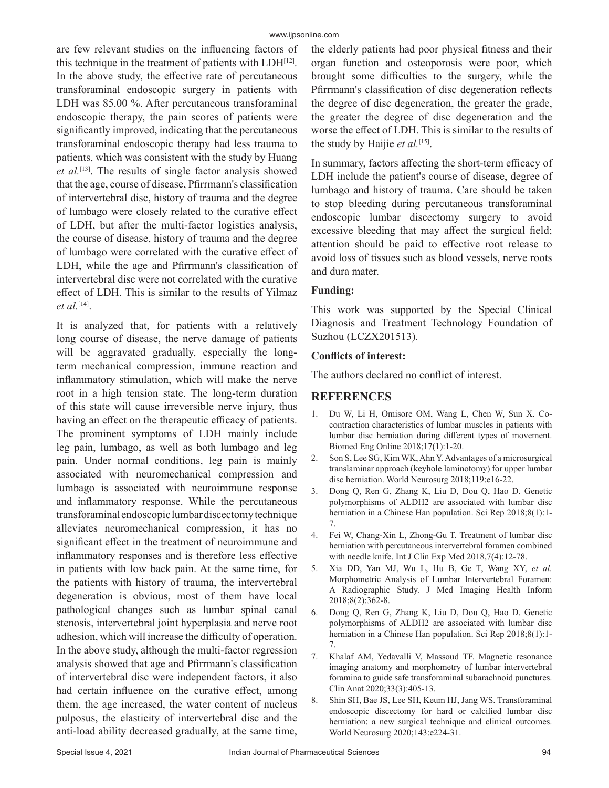are few relevant studies on the influencing factors of this technique in the treatment of patients with  $LDH<sup>[12]</sup>$ . In the above study, the effective rate of percutaneous transforaminal endoscopic surgery in patients with LDH was 85.00 %. After percutaneous transforaminal endoscopic therapy, the pain scores of patients were significantly improved, indicating that the percutaneous transforaminal endoscopic therapy had less trauma to patients, which was consistent with the study by Huang *et al.*[13]. The results of single factor analysis showed that the age, course of disease, Pfirrmann's classification of intervertebral disc, history of trauma and the degree of lumbago were closely related to the curative effect of LDH, but after the multi-factor logistics analysis, the course of disease, history of trauma and the degree of lumbago were correlated with the curative effect of LDH, while the age and Pfirrmann's classification of intervertebral disc were not correlated with the curative effect of LDH. This is similar to the results of Yilmaz *et al.*[14].

It is analyzed that, for patients with a relatively long course of disease, the nerve damage of patients will be aggravated gradually, especially the longterm mechanical compression, immune reaction and inflammatory stimulation, which will make the nerve root in a high tension state. The long-term duration of this state will cause irreversible nerve injury, thus having an effect on the therapeutic efficacy of patients. The prominent symptoms of LDH mainly include leg pain, lumbago, as well as both lumbago and leg pain. Under normal conditions, leg pain is mainly associated with neuromechanical compression and lumbago is associated with neuroimmune response and inflammatory response. While the percutaneous transforaminal endoscopic lumbar discectomy technique alleviates neuromechanical compression, it has no significant effect in the treatment of neuroimmune and inflammatory responses and is therefore less effective in patients with low back pain. At the same time, for the patients with history of trauma, the intervertebral degeneration is obvious, most of them have local pathological changes such as lumbar spinal canal stenosis, intervertebral joint hyperplasia and nerve root adhesion, which will increase the difficulty of operation. In the above study, although the multi-factor regression analysis showed that age and Pfirrmann's classification of intervertebral disc were independent factors, it also had certain influence on the curative effect, among them, the age increased, the water content of nucleus pulposus, the elasticity of intervertebral disc and the anti-load ability decreased gradually, at the same time, the elderly patients had poor physical fitness and their organ function and osteoporosis were poor, which brought some difficulties to the surgery, while the Pfirrmann's classification of disc degeneration reflects the degree of disc degeneration, the greater the grade, the greater the degree of disc degeneration and the worse the effect of LDH. This is similar to the results of the study by Haijie *et al.*[15].

In summary, factors affecting the short-term efficacy of LDH include the patient's course of disease, degree of lumbago and history of trauma. Care should be taken to stop bleeding during percutaneous transforaminal endoscopic lumbar discectomy surgery to avoid excessive bleeding that may affect the surgical field; attention should be paid to effective root release to avoid loss of tissues such as blood vessels, nerve roots and dura mater.

# **Funding:**

This work was supported by the Special Clinical Diagnosis and Treatment Technology Foundation of Suzhou (LCZX201513).

## **Conflicts of interest:**

The authors declared no conflict of interest.

# **REFERENCES**

- 1. Du W, Li H, Omisore OM, Wang L, Chen W, Sun X. Cocontraction characteristics of lumbar muscles in patients with lumbar disc herniation during different types of movement. Biomed Eng Online 2018;17(1):1-20.
- 2. Son S, Lee SG, Kim WK, Ahn Y. Advantages of a microsurgical translaminar approach (keyhole laminotomy) for upper lumbar disc herniation. World Neurosurg 2018;119:e16-22.
- 3. Dong Q, Ren G, Zhang K, Liu D, Dou Q, Hao D. Genetic polymorphisms of ALDH2 are associated with lumbar disc herniation in a Chinese Han population. Sci Rep 2018;8(1):1- 7.
- 4. Fei W, Chang-Xin L, Zhong-Gu T. Treatment of lumbar disc herniation with percutaneous intervertebral foramen combined with needle knife. Int J Clin Exp Med 2018,7(4):12-78.
- 5. Xia DD, Yan MJ, Wu L, Hu B, Ge T, Wang XY, *et al.* Morphometric Analysis of Lumbar Intervertebral Foramen: A Radiographic Study. J Med Imaging Health Inform 2018;8(2):362-8.
- 6. Dong Q, Ren G, Zhang K, Liu D, Dou Q, Hao D. Genetic polymorphisms of ALDH2 are associated with lumbar disc herniation in a Chinese Han population. Sci Rep 2018;8(1):1- 7.
- 7. Khalaf AM, Yedavalli V, Massoud TF. Magnetic resonance imaging anatomy and morphometry of lumbar intervertebral foramina to guide safe transforaminal subarachnoid punctures. Clin Anat 2020;33(3):405-13.
- 8. Shin SH, Bae JS, Lee SH, Keum HJ, Jang WS. Transforaminal endoscopic discectomy for hard or calcified lumbar disc herniation: a new surgical technique and clinical outcomes. World Neurosurg 2020;143:e224-31.